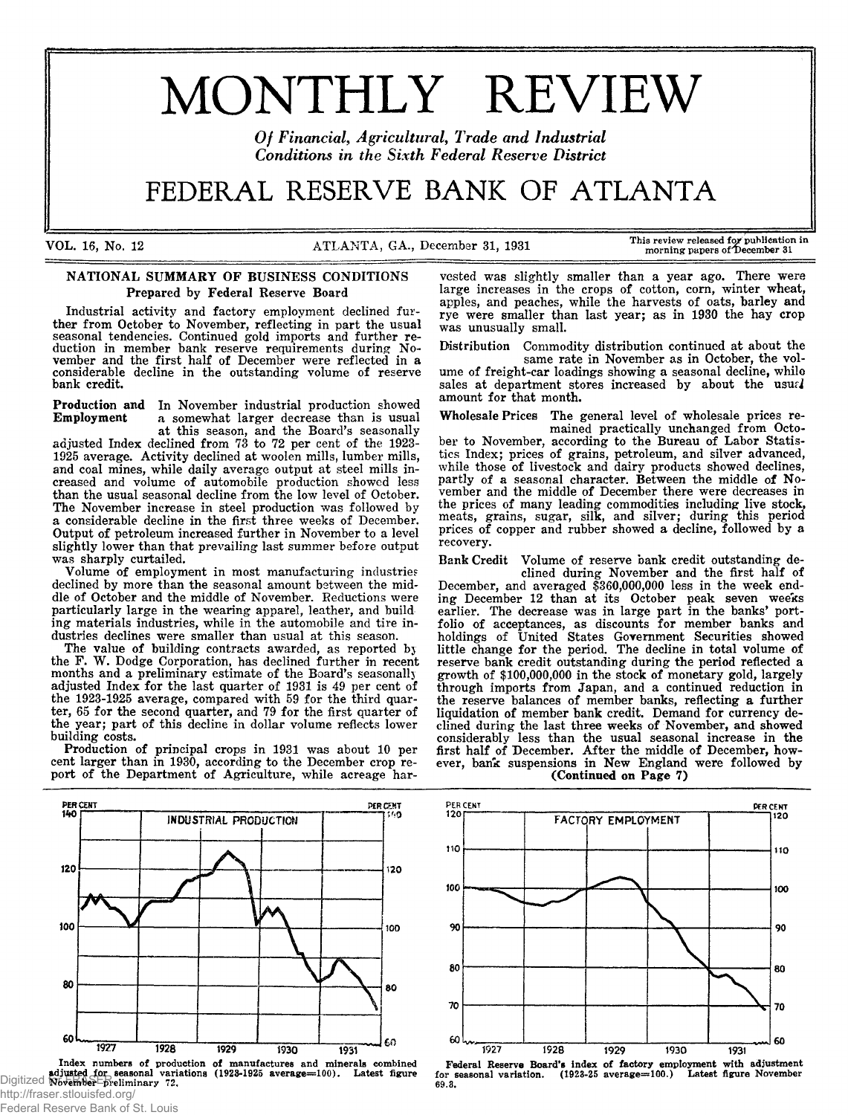# MONTHLY REVIEW

Of Financial, Agricultural, Trade and Industrial *Conditions in the Sixth Federal Reserve District* 

# FEDERAL RESERVE BANK OF ATLANTA

VOL. 16, No. 12 ATLANTA, GA., December 31, 1931 This review released for publication in

#### NATIONAL SUMMARY OF BUSINESS CONDITIONS Prepared by Federal Reserve Board

Industrial activity and factory employment declined further from October to November, reflecting in part the usual seasonal tendencies. Continued gold imports and further reduction in member bank reserve requirements during November and the first half of December were reflected in a considerable decline in the outstanding volume of reserve bank credit.

Production and In November industrial production showed<br>Employment a somewhat larger decrease than is usual a somewhat larger decrease than is usual at this season, and the Board's seasonally

adjusted Index declined from 73 to 72 per cent of the 1923- 1925 average. Activity declined at woolen mills, lumber mills, and coal mines, while daily average output at steel mills increased and volume of automobile production showed less than the usual seasonal decline from the low level of October. The November increase in steel production was followed by a considerable decline in the first three weeks of December. Output of petroleum increased further in November to a level slightly lower than that prevailing last summer before output was sharply curtailed.

Volume of employment in most manufacturing industries declined by more than the seasonal amount between the middle of October and the middle of November. Reductions were particularly large in the wearing apparel, leather, and build ing materials industries, while in the automobile and tire industries declines were smaller than usual at this season.

The value of building contracts awarded, as reported bj the F. W. Dodge Corporation, has declined further in recent months and a preliminary estimate of the Board's seasonally adjusted Index for the last quarter of 1931 is 49 per cent of the 1923-1925 average, compared with 59 for the third quarter, 65 for the second quarter, and 79 for the first quarter of the year; part of this decline in dollar volume reflects lower building costs.

Production of principal crops in 1931 was about 10 per cent larger than in 1930, according to the December crop report of the Department of Agriculture, while acreage har-



http://fraser.stlouisfed.org/

Federal Reserve Bank of St. Louis

vested was slightly smaller than a year ago. There were large increases in the crops of cotton, com, winter wheat, apples, and peaches, while the harvests of oats, barley and rye were smaller than last year; as in 1930 the hay crop was unusually small.

Distribution Commodity distribution continued at about the same rate in November as in October, the vol-

ume of freight-car loadings showing a seasonal decline, while sales at department stores increased by about the usurl amount for that month.

Wholesale Prices The general level of wholesale prices remained practically unchanged from October to November, according to the Bureau of Labor Statistics Index; prices of grains, petroleum, and silver advanced, while those of livestock and dairy products showed declines, partly of a seasonal character. Between the middle of November and the middle of December there were decreases in the prices of many leading commodities including live stock, meats, grains, sugar, silk, and silver; during this period prices of copper and rubber showed a decline, followed by a recovery.

Bank Credit Volume of reserve bank credit outstanding declined during November and the first half of December, and averaged \$360,000,000 less in the week ending December 12 than at its October peak seven weeks earlier. The decrease was in large part in the banks' portfolio of acceptances, as discounts for member banks and holdings of United States Government Securities showed little change for the period. The decline in total volume of reserve bank credit outstanding during the period reflected a growth of \$100,000,000 in the stock of monetary gold, largely through imports from Japan, and a continued reduction in the reserve balances of member banks, reflecting a further liquidation of member bank credit. Demand for currency declined during the last three weeks of November, and showed considerably less than the usual seasonal increase in the first half of December. After the middle of December, however, bank suspensions in New England were followed by (Continued on Page 7)

FACTORY EMPLOYMENT 110 110 100 100 90 90 80 80 70 70 60 60 1927 1928 1929 1930 1931

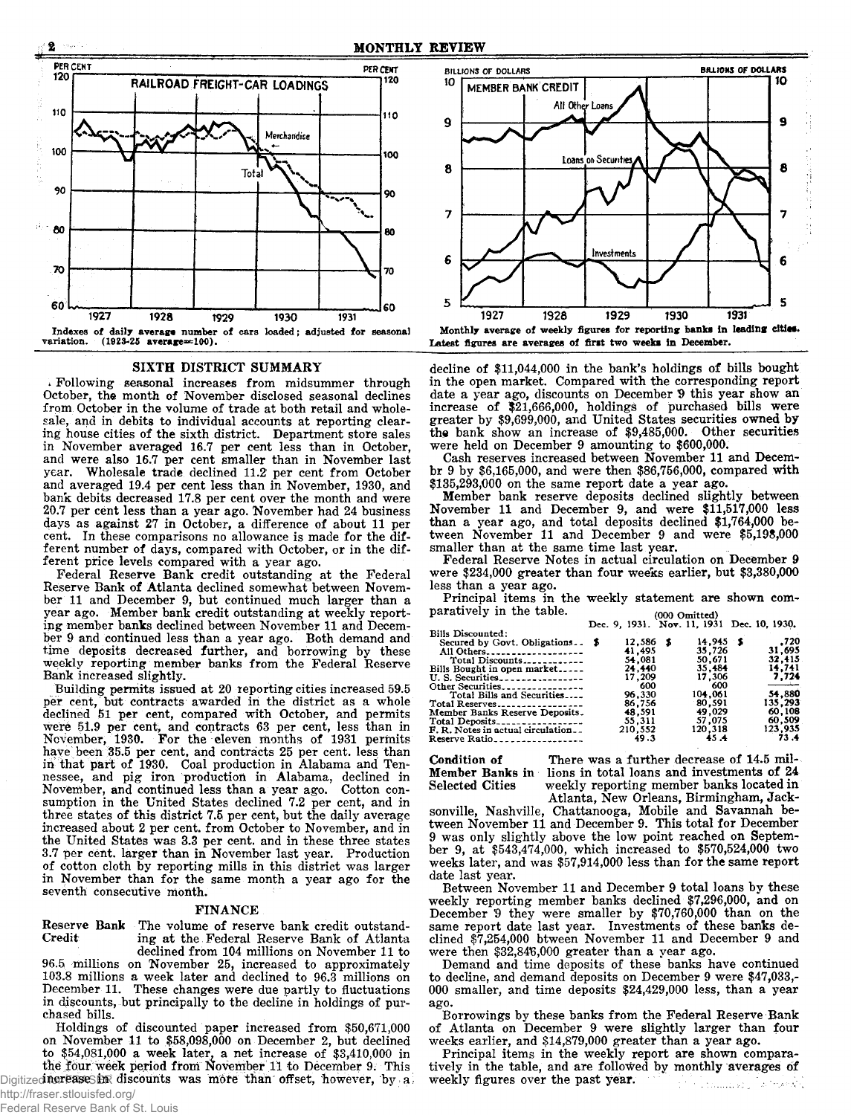

#### SIXTH DISTRICT SUMMARY

\* Following seasonal increases from midsummer through October, the month of November disclosed seasonal declines from October in the volume of trade at both retail and wholesale, and in debits to individual accounts at reporting clearing house cities of the sixth district. Department store sales in November averaged 16.7 per cent less than in October, and were also 16.7 per cent smaller than in November last year. Wholesale trade declined 11.2 per cent from October and averaged 19.4 per cent less than in November, 1930, and bank debits decreased 17.8 per cent over the month and were 20.7 per cent less than a year ago. November had 24 business days as against 27 in October, a difference of about 11 per cent. In these comparisons no allowance is made for the different number of days, compared with October, or in the different price levels compared with a year ago.

Federal Reserve Bank credit outstanding at the Federal Reserve Bank of Atlanta declined somewhat between November 11 and December 9, but continued much larger than a year ago. Member bank credit outstanding at weekly reporting member banks declined between November 11 and December 9 and continued less than a year ago. Both demand and time deposits decreased further, and borrowing by these weekly reporting member banks from the Federal Reserve Bank increased slightly.

Building permits issued at 20 reporting cities increased 59.5 per cent, but contracts awarded in the district as a whole declined 51 per cent, compared with October, and permits were 51.9 per cent, and contracts 63 per cent, less than in November, 1930. For the eleven months of 1931 permits have been 35.5 per cent, and contracts 25 per cent, less than in that part of 1930. Coal production in Alabama and Tennessee, and pig iron production in Alabama, declined in November, and continued less than a year ago. Cotton consumption in the United States declined 7.2 per cent, and in three states of this district 7.5 per cent, but the daily average increased about 2 per cent, from October to November, and in the United States was 3.3 per cent, and in these three states 3.7 per cent, larger than in November last year. Production of cotton cloth by reporting mills in this district was larger in November than for the same month a year ago for the seventh consecutive month.

#### FINANCE

Reserve Bank The volume of reserve bank credit outstand-<br>Credit ing at the Federal Reserve Bank of Atlanta ing at the Federal Reserve Bank of Atlanta declined from 104 millions on November 11 to

96.5 millions on November 25, increased to approximately 103.8 millions a week later and declined to 96.3 millions on December 11. These changes were due partly to fluctuations in discounts, but principally to the decline in holdings of purchased bills.

Holdings of discounted paper increased from \$50,671,000 on November 11 to \$58,098,000 on December 2, but declined to  $$54,081,000$  a week later, a net increase of  $$3,410,000$  in the four week period from November 11 to December 9. This Digitized **nor FASES** in discounts was more than offset, however, by a



Latest figures are averages of first two weeks in December.

decline of \$11,044,000 in the bank's holdings of bills bought in the open market. Compared with the corresponding report date a year ago, discounts on December 9 this year show an increase of \$21,666,000, holdings of purchased bills were greater by \$9,699,000, and United States securities owned by the bank show an increase of \$9,485,000. Other securities were held on December 9 amounting to \$600,000.

Cash reserves increased between November 11 and Decembr 9 by \$6,165,000, and were then \$86,756,000, compared with \$135,293,000 on the same report date a year ago.

Member bank reserve deposits declined slightly between November 11 and December 9, and were \$11,517,000 less than a year ago, and total deposits declined \$1,764,000 between November 11 and December 9 and were \$5,198,000 smaller than at the same time last year.

Federal Reserve Notes in actual circulation on December 9 were \$234,000 greater than four weeks earlier, but \$3,380,000 less than a year ago.

Principal items in the weekly statement are shown comparatively in the table.  $(000 \text{ Omitted})$ 

|                                    | ,,,,,,,,,,,,,,,,, |                                            |  |          |  |         |  |
|------------------------------------|-------------------|--------------------------------------------|--|----------|--|---------|--|
|                                    |                   | Dec. 9, 1931. Nov. 11, 1931 Dec. 10, 1930. |  |          |  |         |  |
| <b>Bills Discounted:</b>           |                   |                                            |  |          |  |         |  |
| Secured by Govt. Obligations \$    |                   | $12,586$ \$                                |  | 14.945 S |  | .720    |  |
| All Others                         |                   | 41.495                                     |  | 35,726   |  | 31.695  |  |
| Total Discounts                    |                   | 54.081                                     |  | 50.671   |  | 32.415  |  |
| Bills Bought in open market        |                   | 24.440                                     |  | 35.484   |  | 14,741  |  |
| U. S. Securities                   |                   | 17.209                                     |  | 17.306   |  | 7.724   |  |
| Other Securities                   |                   | 600                                        |  | 600      |  |         |  |
| Total Bills and Securities         |                   | 96.330                                     |  | 104.061  |  | 54.880  |  |
| Total Reserves                     |                   | 86,756                                     |  | 80.591   |  | 135.293 |  |
| Member Banks Reserve Deposits.     |                   | 48.591                                     |  | 49.029   |  | 60.108  |  |
| Total Deposits                     |                   | 55.311                                     |  | 57.075   |  | 60,509  |  |
| F. R. Notes in actual circulation. |                   | 210.552                                    |  | 120,318  |  | 123.935 |  |
| Reserve Ratio                      |                   | 49.3                                       |  | 45.4     |  | 73.4    |  |
|                                    |                   |                                            |  |          |  |         |  |

Condition of There was a further decrease of 14.5 mil-<br>Member Banks in lions in total loans and investments of 24 Member Banks in lions in total loans and investments of 24<br>Selected Cities weekly reporting member banks located in weekly reporting member banks located in Atlanta, New Orleans, Birmingham, Jack-

sonville, Nashville, Chattanooga, Mobile and Savannah between November 11 and December 9. This total for December 9 was only slightly above the low point reached on September 9, at \$543,474,000, which increased to \$570,524,000 two weeks later, and was \$57,914,000 less than for the same report date last year.

Between November 11 and December 9 total loans by these weekly reporting member banks declined \$7,296,000, and on December '9 they were smaller by \$70,760,000 than on the same report date last year. Investments of these banks declined \$7,254,000 btween November 11 and December 9 and were then  $$32,846,000$  greater than a year ago.

Demand and time deposits of these banks have continued to decline, and demand deposits on December 9 were \$47,033,- 000 smaller, and time deposits \$24,429,000 less, than a year ago.

Borrowings by these banks from the Federal Reserve Bank of Atlanta on December 9 were slightly larger than four weeks earlier, and \$14,879,000 greater than a year ago.

Principal items in the weekly report are shown comparatively in the table, and are followed by monthly averages of weekly figures over the past year.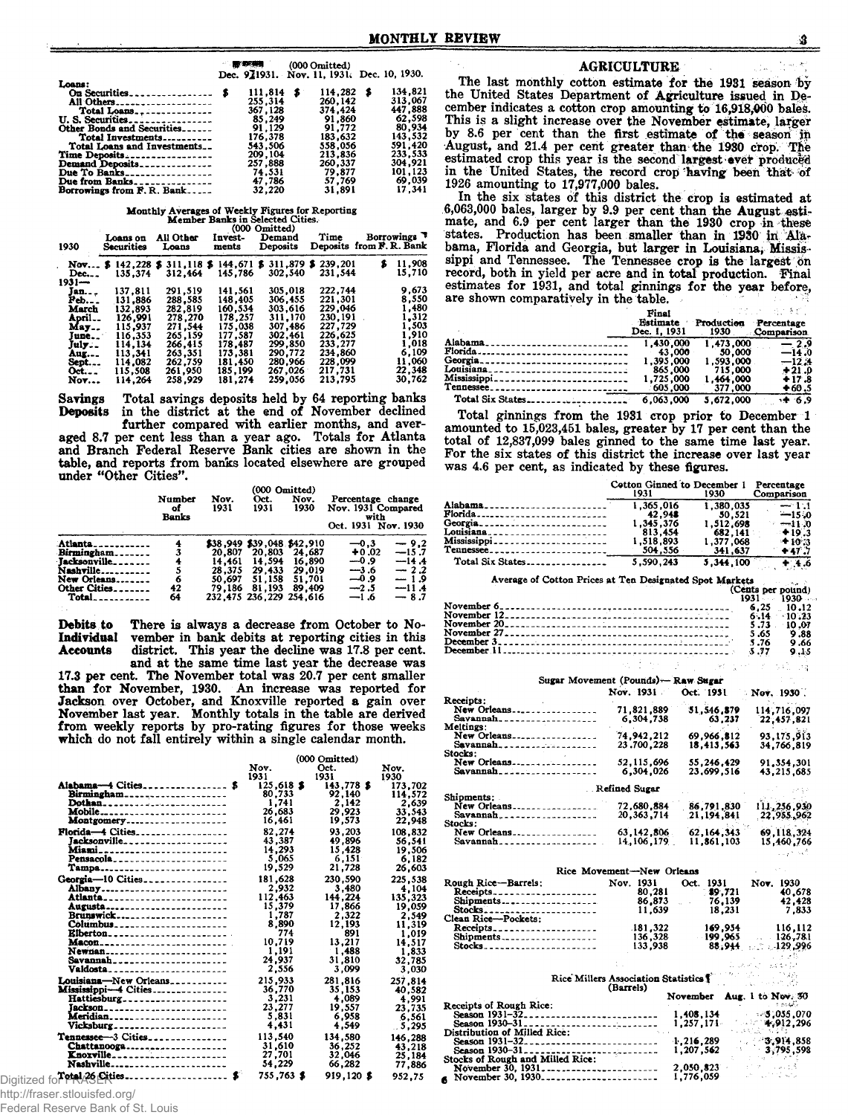|                             |              | <b>- 那咧喇 (000 Omitted)</b>                 |         |
|-----------------------------|--------------|--------------------------------------------|---------|
|                             |              | Dec. 921931. Nov. 11, 1931. Dec. 10, 1930. |         |
| Loans:                      |              |                                            |         |
|                             | $111.814$ \$ | $114,282$ \$                               | 134.821 |
| All Others                  | 255,314      | 260.142                                    | 313,067 |
| Total Loans                 | 367.128      | 374.424                                    | 447.888 |
|                             | 85.249       | 91.860                                     | 62,598  |
| Other Bonds and Securities  | 91.129       | 91.772                                     | 80,934  |
| Total Investments           | 176.378      | 183.632                                    | 143,532 |
| Total Loans and Investments | 543.506      | 558,056                                    | 591.420 |
| Time Deposits               | 209.104      | 213,836                                    | 233.533 |
| Demand Deposits             | 257.888      | 260,337                                    | 304.921 |
| Due To Banks                | 74.531       | 79.877                                     | 101,123 |
| Due from Banks              | 47.786       | 57.769                                     | 69.039  |
| Borrowings from F.R. Bank   | 32,220       | 31,891                                     | 17.341  |

# Monthly Averages of Weekly Figures for Reporting<br>Member Banks in Selected Cities.<br>(000 Omitted)

| 1930                   | Loans on<br>Securities     | All Other<br>Loans    | Invest-<br>ments            | $\sim$ $\sim$ $\sim$ $\sim$ $\sim$ $\sim$ $\sim$<br>Demand<br>Deposits | Time               | Borrowings <sup>7</sup><br>Deposits from F. R. Bank |
|------------------------|----------------------------|-----------------------|-----------------------------|------------------------------------------------------------------------|--------------------|-----------------------------------------------------|
| Nov<br>$Dec.$<br>1931— | 142,228 \$<br>5<br>135.374 | 311.118 \$<br>312.464 | 144.671 <b>S</b><br>145.786 | 311,879 \$<br>302.540                                                  | 239,201<br>231.544 | 11,908<br>s<br>15,710                               |
| Jan. <sub>- -</sub>    | 137.811                    | 291.519               | 141.561                     | 305.018                                                                | 222,744            | 9.673                                               |
| Peb                    | 131.886                    | 288.585               | 148.405                     | 306.455                                                                | 221.301            | 8.550                                               |
| March                  | 132.893                    | 282.819               | 160.534                     | 303.616                                                                | 229.046            | 1,480                                               |
| April…                 | 126.991                    | 278.270               | 178.257                     | 311,170                                                                | 230.191            | 1,312                                               |
| May                    | 115.937                    | 271,544               | 175.038                     | 307.486                                                                | 227.729            | 1,503                                               |
| June                   | 116.353                    | 265.159               | 177.587                     | 302.461                                                                | 226.625            | 1.910                                               |
| July                   | 114.134                    | 266,415               | 178.487                     | 299,850                                                                | 233.277            | 1.018                                               |
| Aug.                   | 113.341                    | 263.351               | 173.381                     | 290.772                                                                | 234.860            | 6.109                                               |
| Sept                   | 114.082                    | 262.759               | 181.450                     | 280.966                                                                | 228.099            | 11,060                                              |
| Oct.                   | 115.508                    | 261.950               | 185.199                     | 267.026                                                                | 217,731            | 22.348                                              |
| <b>Nov</b>             | 114.264                    | 258.929               | 181.274                     | 259.056                                                                | 213,795            | 30.762                                              |

Savings Total savings deposits held by 64 reporting banks<br>Deposits in the district at the end of November declined in the district at the end of November declined further compared with earlier months, and averaged 8.7 per cent less than a year ago. Totals for Atlanta and Branch Federal Reserve Bank cities are shown in the table, and reports from banks located elsewhere are grouped under "Other Cities".

|                                                                                                  | Number<br>оf<br>Banks | Nov.<br>1931                                   | (000 Omitted)<br>Oct.<br>1931                                                                           | Nov.<br>1930                                   | Percentage change<br>Nov. 1931 Compared<br>with<br>Oct. 1931 Nov. 1930 |                                                                       |
|--------------------------------------------------------------------------------------------------|-----------------------|------------------------------------------------|---------------------------------------------------------------------------------------------------------|------------------------------------------------|------------------------------------------------------------------------|-----------------------------------------------------------------------|
| Atlanta.<br>Birmingham.<br>Jacksonville<br>Nashville…<br>New Orleans.<br>Other Cities_<br>Total. | 3<br>6<br>42<br>64    | 20.807<br>14.461<br>28.375<br>50.697<br>79.186 | \$38,949 \$39,048 \$42,910<br>20,803<br>14.594<br>29.433<br>51,158<br>81,193<br>232.475 236.229 254.616 | 24.687<br>16.890<br>29.019<br>51.701<br>89.409 | $-0.3$<br>$+0.02$<br>$-0.9$<br>$-3.6$<br>و 0—<br>$-2.5$<br>$-1.6$      | $-9.2$<br>$-15.7$<br>$-14.4$<br>$-2.2$<br>$-1.9$<br>$-11.4$<br>$-8.7$ |

Debits to There is always a decrease from October to No-Individual vember in bank debits at reporting cities in this Individual vember in bank debits at reporting cities in this Accounts district. This year the decline was 17.8 per cent. district. This year the decline was 17.8 per cent.

and at the same time last year the decrease was 17.3 per cent. The November total was 20.7 per cent smaller than for November, 1930. An increase was reported for Jackson over October, and Knoxville reported a gain over November last year. Monthly totals in the table are derived from weekly reports by pro-rating figures for those weeks which do not fall entirely within a single calendar month.

|                                                          |                      | (000 Omitted)      |                   |
|----------------------------------------------------------|----------------------|--------------------|-------------------|
|                                                          | Nov.                 | Oct.               | Nov.              |
| Alabama-4 Cities \$                                      | 1931<br>$125,618$ \$ | 1931<br>143.778 \$ | 1930<br>173.702   |
| Birmingham                                               | 80,733               | 92.140             | 114.572           |
| Dothan_________________________                          | 1,741                | 2.142              | 2.639             |
| Mobile<br>Montgomery                                     | 26,683<br>16.461     | 29,923<br>19,573   | 33.543<br>22,948  |
| Florida-4 Cities                                         | 82.274               | 93,203             | 108.832           |
| Tacksonville                                             | 43,387               | 49,896             | 56.541            |
| Miami___________________________                         | 14.293               | 15,428             | 19.506            |
| Pensacola                                                | 5.065                | 6.151              | 6.182             |
| <b>Tampa</b>                                             | 19,529               | 21,728             | 26.603            |
| Georgia-10 Cities                                        | 181,628              | 230.590            | 225.538           |
| Albany                                                   | 2.932                | 3.480              | 4.104             |
| Atlanta_________________________                         | 112,463<br>15,379    | 144,224<br>17,866  | 135.323<br>19.059 |
| Augusta <sub>------------------------</sub><br>Brunswick | 1.787                | 2.322              | 2.549             |
| Columbus                                                 | 8,890                | 12.193             | 11,319            |
| Elberton                                                 | 774                  | 891                | 1.019             |
| <b>Macon</b>                                             | 10,719               | 13,217             | 14.517            |
| Newnan                                                   | 1,191                | 1.488              | 1.833             |
|                                                          | 24,937               | 31.810             | 32,785            |
|                                                          | 2,556                | 3,099              | 3.030             |
| Louisiana-New Orleans                                    | 215,933              | 281,816            | 257,814           |
| Mississippi-4 Cities                                     | 36,770               | 35,153             | 40.582            |
| Hattiesburg                                              | 3,231                | 4,089              | 4.991             |
| Jackson________________________                          | 23,277<br>5,831      | 19,557<br>6.958    | 23,735            |
| Meridian <sub>-</sub><br>Vicksburg______________________ | 4.431                | 4.549              | 6.561<br>5.295    |
| Tennessee-3 Cities                                       | 113.540              | 134.580            |                   |
| Chattanooga                                              | 31,610               | 36,252             | 146.288<br>43,218 |
| Knoxville                                                | 27,701               | 32.046             | 25.184            |
| Nashville                                                | 54,229               | 66,282             | 77.886            |
| Digitized for PRASEtties                                 | 755.763 \$           | 919.120 \$         | 952.75            |

#### AGRICULTURE

The last monthly cotton estimate for the 1931 season by the United States Department of Agriculture issued in December indicates a cotton crop amounting to 16,918,000 bales. This is a slight increase over the November estimate, larger by 8.6 per cent than the first estimate of the season in August, and 21.4 per cent greater than the 1930 crop. The estimated crop this year is the second largest ever produced in the United States, the record crop having been that of 1926 amounting to 17,977,000 bales.

In the six states of this district the crop is estimated at 6,063,000 bales, larger by 9.9 per cent than the August estimate, and 6.9 per cent larger than the 1930 crop in these states. Production has been smaller than in 1930 in Alabama, Florida and Georgia, but larger in Louisiana; Mississippi and Tennessee. The Tennessee crop is the largest on record, both in yield per acre and in total production. Final estimates for 1931, and total ginnings for the year before, are shown comparatively in the table.

|                                                  | Final                    |                    | シュースでの アイトライチ おん                |
|--------------------------------------------------|--------------------------|--------------------|---------------------------------|
|                                                  | Estimate<br>Dec. 1, 1931 | Production<br>1930 | Percentage<br><b>Comparison</b> |
| Alabama                                          | 1.430,000                | 1,473,000          |                                 |
| Florida--------------------------------          | 43.000                   | $-50.000$          | $=$ $14.0^{\circ}$              |
| Georgia                                          | 1.395.000                | 1,593,000          | $-12.4$                         |
| Louisiana <sub>---------------------------</sub> | 865,000                  | 715,000            | $+21.0$                         |
| Mississippi                                      | 1,725,000                | 1,464,000          | +17.8                           |
| Tennessee                                        | 605,000                  | 377,000            | $+60.5$                         |
| Total Six States                                 | 6.063.000                | 5.672.000          | $+ 6.9$                         |

Total ginnings from the 1931 crop prior to December 1 amounted to 15,023,451 bales, greater by 17 per cent than the total of 12,837,099 bales ginned to the same time last year. For the six states of this district the increase over last year was 4.6 per cent, as indicated by these figures.

|                                                                                                                                                                                                                                              | 1931                                   | Cotton Ginned to December 1<br>1930 | Percentage<br>Comparison                          |
|----------------------------------------------------------------------------------------------------------------------------------------------------------------------------------------------------------------------------------------------|----------------------------------------|-------------------------------------|---------------------------------------------------|
| Alabama_________________________                                                                                                                                                                                                             | 1,365,016                              | 1,380,035                           | $\pm 1.1$                                         |
| <b>Florida</b>                                                                                                                                                                                                                               | 42,948                                 | 50,521                              | $-15.0$                                           |
| Georgia                                                                                                                                                                                                                                      | 1,345,376                              | 1,512,698                           | $-11.0$                                           |
| Louisiana________________________<br>Mississippi                                                                                                                                                                                             | 813,454<br>1,518,893                   | 682,141<br>1,377,068                | $+19.3$                                           |
| Tennessee________________________                                                                                                                                                                                                            | 504,556                                | 341,637                             | $+10.3$<br>$+47.7$                                |
| Total Six States                                                                                                                                                                                                                             | 5.590.243                              | 5,344,100                           | 4.6                                               |
|                                                                                                                                                                                                                                              |                                        |                                     |                                                   |
| Average of Cotton Prices at Ten Designated Spot Markets                                                                                                                                                                                      |                                        |                                     | (Cents per pound)                                 |
|                                                                                                                                                                                                                                              |                                        |                                     | $1931 - 1930$                                     |
|                                                                                                                                                                                                                                              |                                        |                                     | 6,25<br>. 10.12<br>$6.14 - 10.23$                 |
| November 12<br>November 20<br>November 27<br>November 27<br>The Communication of the Communication of the November 27<br>November 27<br>Allen Communication of the Communication of the November 27<br>The Communication of the Communicatio |                                        |                                     | 5.73<br>$-10.07$                                  |
|                                                                                                                                                                                                                                              |                                        |                                     | 5 .65<br>9.88                                     |
|                                                                                                                                                                                                                                              |                                        |                                     | 5.76<br>9.66                                      |
|                                                                                                                                                                                                                                              |                                        |                                     | 5.77<br>9.15                                      |
|                                                                                                                                                                                                                                              |                                        |                                     | $\mathcal{C}^{\pm}$<br>ាង ខេត្                    |
|                                                                                                                                                                                                                                              | Sugar Movement (Pounds) - Raw Sugar    |                                     |                                                   |
| <b>Receipts:</b>                                                                                                                                                                                                                             | Nov. 1931                              | Oct. 1951                           | $\sim$ Nov. 1930.                                 |
| New Orleans                                                                                                                                                                                                                                  | 71,821,889                             | 51,546,879                          | 114,716,097                                       |
| Savannah                                                                                                                                                                                                                                     | 6,304,738                              | 63,237                              | 22,457,821                                        |
| <b>Meltings:</b><br>New Orleans                                                                                                                                                                                                              | 74, 942, 212                           | 69,966,812                          | 93,175,913                                        |
| Savannah                                                                                                                                                                                                                                     | 23,700,228                             | 18,413,563                          | 34,766,819                                        |
| Stocks:                                                                                                                                                                                                                                      |                                        |                                     |                                                   |
| New Orleans<br>Savannah                                                                                                                                                                                                                      | 52, 115, 696<br>6,304,026              | 55,246,429<br>23,699,516            | 91,354,301<br>43,215,685                          |
|                                                                                                                                                                                                                                              |                                        |                                     |                                                   |
|                                                                                                                                                                                                                                              | Refined Sugar                          |                                     |                                                   |
| Shipments:<br>New Orleans                                                                                                                                                                                                                    | 72,680,884                             | 86,791,830                          | 111,256,930                                       |
|                                                                                                                                                                                                                                              | 20,363,714                             | 21, 194, 841                        | 22,955,962                                        |
| Stocks:<br>New Orleans                                                                                                                                                                                                                       | 63, 142, 806                           | 62, 164, 343                        | 69, 118, 324                                      |
|                                                                                                                                                                                                                                              | 14, 106, 179                           | 11,861,103                          | 15,460,766                                        |
|                                                                                                                                                                                                                                              |                                        |                                     | كحاجيب                                            |
|                                                                                                                                                                                                                                              |                                        |                                     |                                                   |
| Rough Rice-Barrels:                                                                                                                                                                                                                          | Rice Movement-New Orleans<br>Nov. 1931 | Oct.<br>1931                        | Nov. 1930                                         |
|                                                                                                                                                                                                                                              | 80,281                                 | 89,721                              | 40,678                                            |
| Receipts<br>Shipments                                                                                                                                                                                                                        | 86,873                                 | 76,139                              | 42,428                                            |
| Stocks_______________________                                                                                                                                                                                                                | 11.639                                 | 18,231                              | 7,833                                             |
| Clean Rice-Pockets:<br>Receipts                                                                                                                                                                                                              | 181,322                                | 169,934                             | 116,112                                           |
| Shipments                                                                                                                                                                                                                                    | 136,328                                | - 199,965                           | $-126,781$                                        |
|                                                                                                                                                                                                                                              | 133,938                                |                                     | 88,944 129,996                                    |
|                                                                                                                                                                                                                                              |                                        |                                     | 1. John Chines Ex Ch                              |
|                                                                                                                                                                                                                                              | Rice Millers Association Statistics 1  |                                     | ne so i mag                                       |
|                                                                                                                                                                                                                                              | (Barrels)                              |                                     | al service                                        |
|                                                                                                                                                                                                                                              |                                        | November Aug. 1 to Nov. 30          |                                                   |
| <b>Receipts of Rough Rice:</b>                                                                                                                                                                                                               |                                        | 1,408,134                           | ా ఉండవం<br>$-5,055,070$                           |
| Season 1931–32<br>Season 1931–32<br>Season 1930–31                                                                                                                                                                                           |                                        | 1,257,171                           | 4,912,296                                         |
| Distribution of Milled Rice:                                                                                                                                                                                                                 |                                        |                                     |                                                   |
| Season 1931-32                                                                                                                                                                                                                               |                                        | 1,216,289<br>1,207,562              | 3,914,858<br>3,795,598                            |
| Season 1930-31<br>Stocks of Rough and Milled Rice:                                                                                                                                                                                           |                                        |                                     |                                                   |
| November 30, 1931                                                                                                                                                                                                                            |                                        | 2,050,823                           | and could<br>$\mathbb{R}^{n_1}\times\mathbb{R}$ . |
| November 30, 1930                                                                                                                                                                                                                            |                                        | 1,776,059                           | $\mathcal{O}_{\mathbf{a}}^{\mathcal{A}}$ and      |

http://fraser.stlouisfed.org/

Federal Reserve Bank of St. Louis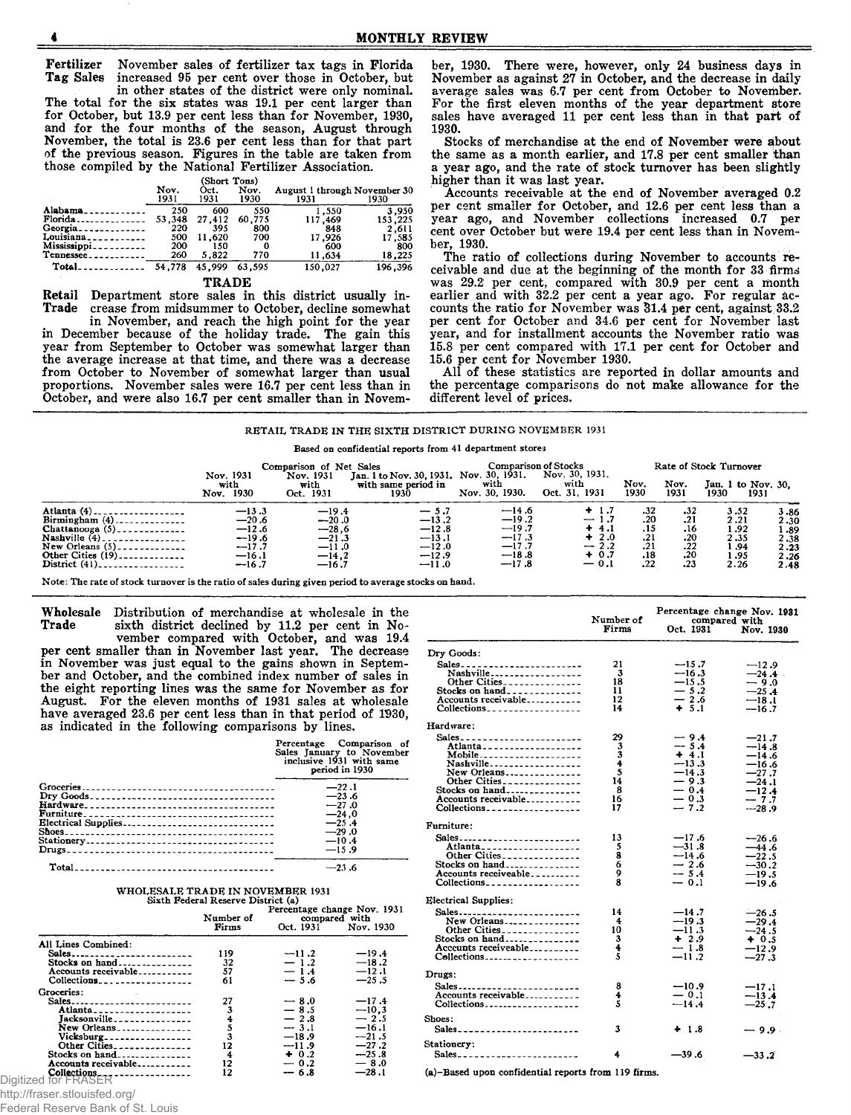Fertilizer November sales of fertilizer tax tags in Florida increased 95 per cent over those in October, but

in other states of the district were only nominal. The total for the six states was 19.1 per cent larger than for October, but 13.9 per cent less than for November, 1930, and for the four months of the season, August through November, the total is 23.6 per cent less than for that part of the previous season. Figures in the table are taken from those compiled by the National Fertilizer Association.

| (Short Ton: |  |
|-------------|--|
|             |  |

|                          |              | (Short Tons) |              |                                      |         |
|--------------------------|--------------|--------------|--------------|--------------------------------------|---------|
|                          | Nov.<br>1931 | Oct.<br>1931 | Nov.<br>1930 | August 1 through November 30<br>1931 | 1930    |
| Alabama.                 | 250          | 600          | 550          | 1.550                                | 3,950   |
| Florida                  | 53.348       | 27.412       | 60.775       | 117,469                              | 153,225 |
| Ceorgia <sub>-</sub>     | 220          | 395          | 800          | 848                                  | 2.611   |
| Louisiana.               | 500          | 11,620       | 700          | 17,926                               | 17,585  |
| Mississippi <sub>-</sub> | 200          | 150          | 0            | 600                                  | 800     |
| Tennessee.               | 260          | 5.822        | 770          | 11,634                               | 18,225  |
| Total.                   | 54,778       | 45.999       | 63,595       | 150.027                              | 196,396 |

#### TRADE

Retail Department store sales in this district usually in-<br>Trade crease from midsummer to October, decline somewhat crease from midsummer to October, decline somewhat in November, and reach the high point for the year

in December because of the holiday trade. The gain this year from September to October was somewhat larger than the average increase at that time, and there was a decrease from October to November of somewhat larger than usual proportions. November sales were 16.7 per cent less than in October, and were also 16.7 per cent smaller than in November, 1930. There were, however, only 24 business days in November as against 27 in October, and the decrease in daily average sales was 6.7 per cent from October to November. For the first eleven months of the year department store sales have averaged 11 per cent less than in that part of 1930.

Stocks of merchandise at the end of November were about the same as a month earlier, and 17.8 per cent smaller than a year ago, and the rate of stock turnover has been slightly higher than it was last year.

Accounts receivable at the end of November averaged 0.2 per cent smaller for October, and 12.6 per cent less than a year ago, and November collections increased 0.7 per cent over October but were 19.4 per cent less than in November, 1930.

The ratio of collections during November to accounts receivable and due at the beginning of the month for 33 firms was 29.2 per cent, compared with 30.9 per cent a month earlier and with 32.2 per cent a year ago. For regular accounts the ratio for November was 31.4 per cent, against 33.2 per cent for October and 34.6 per cent for November last year, and for installment accounts the November ratio was 15.8 per cent compared with 17.1 per cent for October and 15.6 per cent for November 1930.

All of these statistics are reported in dollar amounts and the percentage comparisons do not make allowance for the different level of prices.

#### RETAIL TRADE IN THE SIXTH DISTRICT DURING NOVEMBER 1931

Based on confidential reports from 41 department stores

|                               | Nov. 1931<br>with<br>1930<br>Nov. | Comparison of Net Sales<br>Nov. 1931<br>with<br>Oct. 1931 | Jan. 1 to Nov. 30, 1931. Nov. 30, 1931.<br>with same period in<br>1930 | with<br>Nov. 30, 1930. | <b>Comparison of Stocks</b><br>Nov. 30, 1931.<br>with<br>Oct. 31, 1931 | Nov.<br>1930 | Nov.<br>1931     | Rate of Stock Turnover<br>Jan. 1 to Nov. 30.<br>1930<br>1931 |          |
|-------------------------------|-----------------------------------|-----------------------------------------------------------|------------------------------------------------------------------------|------------------------|------------------------------------------------------------------------|--------------|------------------|--------------------------------------------------------------|----------|
| Atlanta $(4)$ .               | $-13.3$                           | $-19.4$                                                   | $-5.7$                                                                 | $-14.6$                | $+1.7$                                                                 | .32          | .32              | 3.52                                                         | $3 - 86$ |
| Birmingham $(4)$ ------------ | $-20.6$                           | $-20.0$                                                   | $-13.2$                                                                | $-19.2$                | $-1.7$                                                                 | .20          | .21              | 2.21                                                         | 2.30     |
| Chattanooga $(5)$             | $-12.6$                           | $-28.6$                                                   | $-12.8$                                                                | $-19.7$                | $+4.1$                                                                 | .15          | .16              | 1 .92                                                        | 1.89     |
| Nashville $(4)$ .             | $-19.6$                           | $-21.3$                                                   | $-13.1$                                                                | $-17.3$                | $+2.0$                                                                 | .21          | .20              | 2.35                                                         | 2.38     |
| New Orleans $(5)$             | $-17.7$                           | $-11.0$                                                   | $-12.0$                                                                | $-17.7$                | $-2.2$                                                                 | .21          | .22              | 1 .94                                                        | 2.23     |
| Other Cities $(19)$           | $-16.1$                           | $-14.2$                                                   | $-12.9$                                                                | $-18.8$                | $+ 0.7$                                                                | .18          | .20 <sub>1</sub> | 1.95                                                         | 2.26     |
|                               | $-16.7$                           | $-16.7$                                                   | $-11.0$                                                                | $-17.8$                | $-0.1$                                                                 | .22          | .23              | 2.26                                                         | 2.48     |

 $\mathbf{D}$ 

Shoes:

 $St$ 

Note: The rate of stock turnover is the ratio of sales during given period to average stocks on hand.

Wholesale Distribution of merchandise at wholesale in the Trade sixth district declined by 11.2 per cent in Nosixth district declined by 11.2 per cent in No-

vember compared with October, and was 19.4 per cent smaller than in November last year. The decrease in November was just equal to the gains shown in September and October, and the combined index number of sales in the eight reporting lines was the same for November as for August. For the eleven months of 1931 sales at wholesale have averaged 23.6 per cent less than in that period of 1930, as indicated in the following comparisons by lines.

| Percentage Comparison of<br>Sales January to November<br>inclusive 1931 with same<br>period in 1930 |  |  |  |  |
|-----------------------------------------------------------------------------------------------------|--|--|--|--|
| $-22.1$                                                                                             |  |  |  |  |
| $-23.6$<br>$-27.0$                                                                                  |  |  |  |  |
| $-24.0$                                                                                             |  |  |  |  |
| $-25.4$<br>$-29.0$                                                                                  |  |  |  |  |
| $-10.4$<br>$-15.9$                                                                                  |  |  |  |  |
|                                                                                                     |  |  |  |  |
| $-23.6$                                                                                             |  |  |  |  |

### WHOLESALE TRADE IN NOVEMBER 1931<br>Sixth Federal Reserve District (a)

|                                                                                                                     | Number of<br>Firms             |                                                                                          | Percentage change Nov. 1931<br>compared with<br>Oct. 1931 Nov. 1930                           |
|---------------------------------------------------------------------------------------------------------------------|--------------------------------|------------------------------------------------------------------------------------------|-----------------------------------------------------------------------------------------------|
| All Lines Combined:<br>Sales                                                                                        | 119                            | $-11.2$                                                                                  | $-19.4$                                                                                       |
| Stocks on $hand$<br>Accounts receivable<br>Collections                                                              | 32<br>57<br>61                 | $-1.2$<br>$-1.4$<br>$-5.6$                                                               | $-18.2$<br>$-12.1$<br>$-25.5$                                                                 |
| Groceries:<br>Sales<br>Atlanta<br>Jacksonville<br>New Orleans<br>Vicksburg<br>Stocks on hand<br>Accounts receivable | 27<br>3<br>12<br>4<br>12<br>12 | $-8.0$<br>$-8.5$<br>$-2.8$<br>$-3.1$<br>$-18.9$<br>$-11.9$<br>$+0.2$<br>$-0.2$<br>$-6.8$ | $-17.4$<br>$-10.3$<br>$-2.5$<br>$-16.1$<br>$-21.5$<br>$-27.2$<br>$-25.8$<br>$-8.0$<br>$-28.1$ |
| Digitized for FRASER                                                                                                |                                |                                                                                          |                                                                                               |

|                                                                                                                                                                             | Number of<br>Firms                            | Oct. 1931                                                                               | Percentage change Nov. 1931<br>compared with<br>Nov. 1930                                    |
|-----------------------------------------------------------------------------------------------------------------------------------------------------------------------------|-----------------------------------------------|-----------------------------------------------------------------------------------------|----------------------------------------------------------------------------------------------|
| Dry Goods:                                                                                                                                                                  |                                               |                                                                                         |                                                                                              |
| Nashville-------------------<br>Other Cities<br>Stocks on hand<br>Accounts receivable<br>Collections                                                                        | 21<br>3<br>18<br>11<br>12<br>14               | $-15.7$<br>$-16.3$<br>$-15.5$<br>$-5.2$<br>— 2.6<br>$+ 5.1$                             | $-12.9$<br>$-24.4$<br>$-9.0$<br>$-25.4$<br>$-18.1$<br>$-16.7$                                |
| Hardware:                                                                                                                                                                   |                                               |                                                                                         |                                                                                              |
| Sales_________________________<br>Mobile<br>Nashville<br>New Orleans<br>Other Cities<br>Stocks on hand<br>Accounts receivable<br>$Collections$ <sub>-----------------</sub> | 29<br>3<br>3<br>4<br>5<br>14<br>8<br>16<br>17 | - 9.4<br>$-5.4$<br>$+4.1$<br>$-13.3$<br>$-14.3$<br>$-9.3$<br>$-0.4$<br>$-0.3$<br>$-7.2$ | $-21.7$<br>$-14.8$<br>—14.6<br>$-16.6$<br>$-27.7$<br>$-24.1$<br>$-12.4$<br>$-7.7$<br>$-28.9$ |
| Furniture:                                                                                                                                                                  |                                               |                                                                                         |                                                                                              |
| Sales<br>Atlanta____________________<br>Other Cities<br>Stocks on hand<br>Accounts receiveable<br>$Collections$ <sub>-----------------</sub>                                | 13<br>5<br>8<br>6<br>9<br>8                   | $-17.6$<br>$-31.8$<br>--14.6<br>$-2.6$<br>$-5.4$<br>$-0.1$                              | $-26.6$<br>$-44.6$<br>$-22.5$<br>$-30.2$<br>—19.5<br>$-19.6$                                 |
| <b>Electrical Supplies:</b>                                                                                                                                                 |                                               |                                                                                         |                                                                                              |
| Sales<br>New Orleans<br>Other Cities<br>Stocks on hand<br>Acceunts receiveable<br>Collections                                                                               | 14<br>4<br>10<br>3<br>4<br>5                  | $-14.7$<br>$-19.3$<br>$-11.3$<br>$+2.9$<br>$-1.8$<br>$-11.2$                            | $-26.5$<br>$-29.4$<br>$-24.5$<br>$+0.5$<br>$-12.9$<br>$-27.3$                                |
| Drugs:                                                                                                                                                                      |                                               |                                                                                         |                                                                                              |
| Accounts receivable<br>Collections                                                                                                                                          | 8<br>4<br>5                                   | $-10.9$<br>$-0.1$<br>$-14.4$                                                            | $-17.1$<br>$-13.4$<br>$-25.7$                                                                |
| <b>Shoes:</b><br>Sales ________________________                                                                                                                             | 3                                             | $+1.8$                                                                                  | - 9.9 -                                                                                      |
| <b>Stationery:</b>                                                                                                                                                          | 4                                             | -39.6                                                                                   | $-33.2$                                                                                      |

(a)-Based upon confidential reports from 119 firms.

http://fraser.stlouisfed.org/

Federal Reserve Bank of St. Louis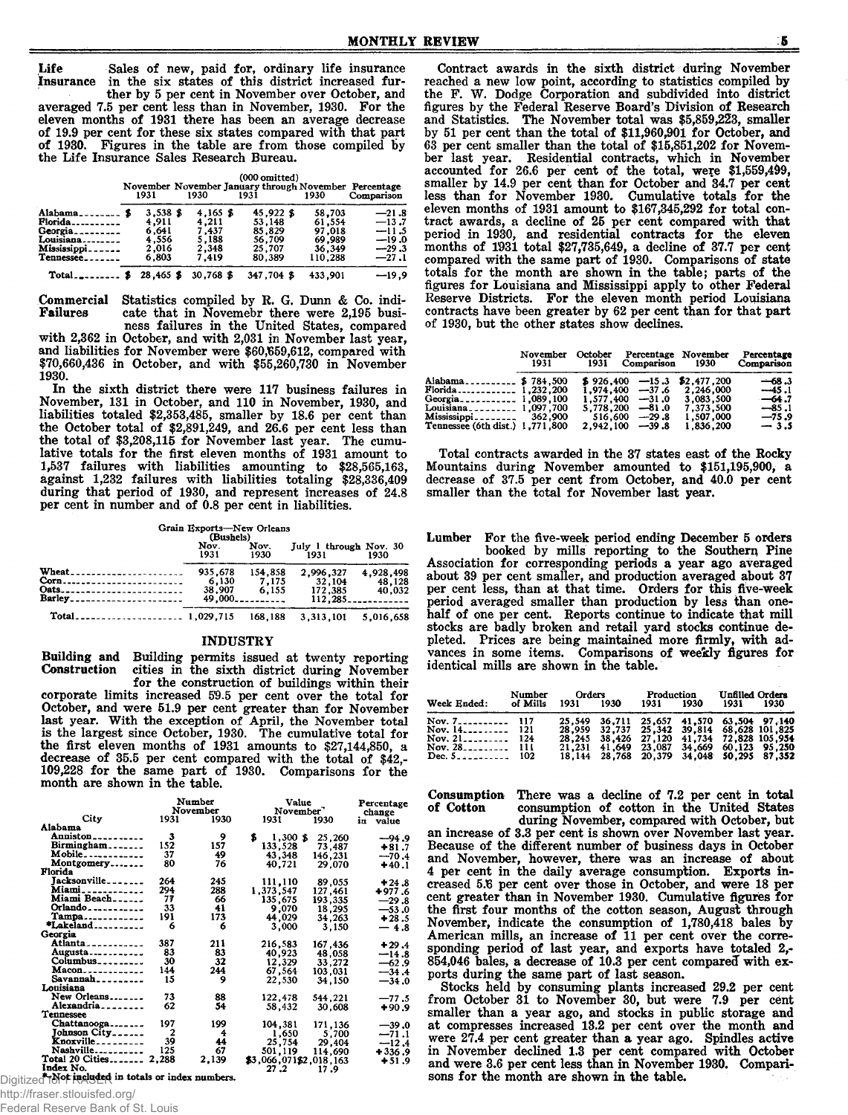Life Sales of new, paid for, ordinary life insurance Insurance in the six states of this district increased fur-

ther by 5 per cent in November over October, and averaged 7.5 per cent less than in November, 1930. For the eleven months of 1931 there has been an average decrease of 19.9 per cent for these six states compared with that part of 1930. Figures in the table are from those compiled by the Life Insurance Sales Research Bureau.

|      |              | $(000 \text{ omitted})$                                       |            |
|------|--------------|---------------------------------------------------------------|------------|
| 1931 | 1930<br>1931 | November November January through November Percentage<br>1930 | Comparison |

| $3,538$ \$ | $4.165$ \$  | 45,922 \$  | 58,703  | $-21.8$ |
|------------|-------------|------------|---------|---------|
| 4.911      | 4.211       | 53,148     | 61.554  | $-13.7$ |
| 6,641      | 7.437       | 85.829     | 97.018  | $-11.5$ |
| 4.556      | 5.188       | 56.709     | 69.989  | $-19.0$ |
| 2.016      | 2.348       | 25.707     | 36.349  | $-29.3$ |
| 6.803      | 7.419       | 80.389     | 110.288 | $-27.1$ |
| 28,465 \$  | $30,768$ \$ | 347.704 \$ | 433,901 | $-19.9$ |
|            |             |            |         |         |

Commercial Statistics compiled by R. G. Dunn & Co. indicate that in Novemebr there were 2,195 busi-

ness failures in the United States, compared with 2,362 in October, and with 2,031 in November last year, and liabilities for November were \$60,659,612, compared with \$70,660,436 in October, and with \$55,260,730 in November 1930.

In the sixth district there were 117 business failures in November, 131 in October, and 110 in November, 1930, and liabilities totaled \$2,353,485, smaller by 18.6 per cent than the October total of \$2,891,249, and 26.6 per cent less than the total of \$3,208,115 for November last year. The cumulative totals for the first eleven months of 1931 amount to 1,537 failures with liabilities amounting to \$28,565,163, against 1,232 failures with liabilities totaling \$28,336,409 during that period of 1930, and represent increases of 24.8 per cent in number and of 0.8 per cent in liabilities.

Grain Exports—New Orleans<br>
(Bushels)<br>
Nov. Nov. July 1 through Nov. 30<br>
1931 1930 1931 1930 Wheat.................................. 935,678 154,858 2,996,327 4,928,498 Corn........... ..................... . 6,130 7,175 32,104 48,128 Oats........................ ........... 38,907 6,155 172,385 40,032 Barley................................. 49,000............... 112,285.................. Total.............. ................ 1,029,715 168,188 3,313,101 5,016,658

#### INDUSTRY

Building and Building permits issued at twenty reporting Construction cities in the sixth district during November for the construction of buildings within their

corporate limits increased 59.5 per cent over the total for October, and were 51.9 per cent greater than for November last year. With the exception of April, the November total is the largest since October, 1930. The cumulative total for the first eleven months of 1931 amounts to \$27,144,850, a decrease of 35.5 per cent compared with the total of \$42,- 109,228 for the same part of 1930. Comparisons for the month are shown in the table.

|                                                                           |       | Number<br>November | Value<br>November <sup>7</sup> |         | Percentage            |
|---------------------------------------------------------------------------|-------|--------------------|--------------------------------|---------|-----------------------|
| City                                                                      | 1931  | 1930               | 1931                           | 1930    | change<br>in<br>value |
| Alabama                                                                   |       |                    |                                |         |                       |
| $\text{Anniston}\text{-}\text{-}\text{-}\text{-}\text{-}\text{-}\text{-}$ | 3     | 9                  | \$<br>$1,300$ \$               | 25,260  | $-94.9$               |
| Birmingham                                                                | 152   | 157                | 133,528                        | 73.487  | $+81.7$               |
| $Mobile$ -----------                                                      | 37    | 49                 | 43,348                         | 146,231 | $-70.4$               |
| Montgomery                                                                | 80    | 76                 | 40,721                         | 29,070  | $+40.1$               |
| Florida                                                                   |       |                    |                                |         |                       |
| Jacksonville_______                                                       | 264   | 245                | 111,110                        | 89,055  | $+24.8$               |
| Miami____________                                                         | 294   | 288                | 1,373,547                      | 127,461 | $+977.6$              |
| Miami Beach                                                               | 77    | 66                 | 135,675                        | 193.335 | $-29.8$               |
| Orlando                                                                   | 33    | 41                 | 9,070                          | 18,295  | $-53.0$               |
| Tampa                                                                     | 191   | 173                | 44,029                         | 34,263  | $+28.5$               |
| *Lakeland                                                                 | 6     | 6                  | 3,000                          | 3,150   | $-4.8$                |
| Georgia                                                                   |       |                    |                                |         |                       |
| Atlanta - - - - - - - - - -                                               | 387   | 211                | 216,583                        | 167,436 | $+29.4$               |
| Augusta                                                                   | 83    | 83                 | 40,923                         | 48,058  | $-14.8$               |
| Columbus <sub>--------</sub>                                              | 30    | 32                 | 12,329                         | 33,272  | $-62.9$               |
| Macon                                                                     | 144   | 244                | 67,564                         | 103,031 | $-34.4$               |
| $Savanah$ <sub>-------</sub>                                              | 15    | 9                  | 22,530                         | 34.150  | $-34.0$               |
| Louisiana                                                                 |       |                    |                                |         |                       |
| New Orleans                                                               | 73    | 88                 | 122,478                        | 544,221 | $-77.5$               |
| Alexandria _ _ _ _ _ _ _ _                                                | 62    | 54                 | 58.432                         | 30.608  | $+90.9$               |
| <b>Tennessee</b>                                                          |       |                    |                                |         |                       |
| Chattanooga                                                               | 197   | 199                | 104,381                        | 171,136 | $-39.0$               |
| Johnson City                                                              | 2     | 4                  | 1,650                          | 5,700   | $-71.1$               |
| Knoxville_________                                                        | 39    | 44                 | 25,754                         | 29,404  | $-12.4$               |
| Nashville                                                                 | 125   | 67                 | 501.119                        |         |                       |
| Total 20 Cities                                                           | 2,288 | 2,139              | \$3,066,071\$2,018,163         | 114,690 | +336.9                |
| Index No.                                                                 |       |                    | 27.2                           | 17.9    | $+51.9$               |
| $+$ Not included in totals or index numbers.                              |       |                    |                                |         |                       |
|                                                                           |       |                    |                                |         |                       |

Digitized for ingluded in totals or index numbers.

http://fraser.stlouisfed.org/

Federal Reserve Bank of St. Louis

Contract awards in the sixth district during November reached a new low point, according to statistics compiled by the F. W. Dodge Corporation and subdivided into district figures by the Federal Reserve Board's Division of Research and Statistics. The November total was \$5,859,223, smaller by 51 per cent than the total of \$11,960,901 for October, and 63 per cent smaller than the total of \$15,851,202 for November last year. Residential contracts, which in November accounted for 26.6 per cent of the total, were \$1,559,499 smaller by 14.9 per cent than for October and 34.7 per cent less than for November 1930. Cumulative totals for the eleven months of 1931 amount to \$167,345,292 for total contract awards, a decline of 25 per cent compared with that period in 1930, and residential contracts for the elever months of 1931 total \$27,735,649, a decline of 37.7 per cent compared with the same part of 1930. Comparisons of state totals for the month are shown in the table; parts of the figures for Louisiana and Mississippi apply to other Federal Reserve Districts. For the eleven month period Louisians contracts have been greater by 62 per cent than for that part of 1930, but the other states show declines.

|                                         | November<br>1931 | October<br>1931 | Comparison | Percentage November<br>1930 | Percentage<br>Comparison |
|-----------------------------------------|------------------|-----------------|------------|-----------------------------|--------------------------|
| Alabama \$784.500                       |                  | \$926.400       | $-15.3$    | \$2,477,200                 | $-68.3$                  |
| Florida 1,232,200                       |                  | 1,974,400       | $-37.6$    | 2,246,000                   | $-45.1$                  |
| Georgia <sub>----------</sub> 1.089.100 |                  | 1.577.400       | $-31.0$    | 3,083,500                   | $-64.7$                  |
| Louisiana__________ 1.097.700           |                  | 5,778,200       | $-81.0$    | 7,373,500                   | $-85.1$                  |
| $Mississippi$ <sub>------</sub> 362,900 |                  | 516,600         | $-29.8$    | 1,507,000                   | $-75.9$                  |
| Tennessee (6th dist.) 1.771.800         |                  | 2.942.100       | $-39.8$    | 1,836,200                   | $-3.5$                   |

Total contracts awarded in the 37 states east of the Rocky Mountains during November amounted to \$151,195,900, a decrease of 37.5 per cent from October, and 40.0 per cent smaller than the total for November last year.

Lumber For the five-week period ending December 5 orders booked by mills reporting to the Southern Pine Association for corresponding periods a year ago average about 39 per cent smaller, and production averaged about 37 per cent less, than at that time. Orders for this five-week period averaged smaller than production by less than onehalf of one per cent. Reports continue to indicate that mill stocks are badly broken and retail yard stocks continue depleted. Prices are being maintained more firmly, with advances in some items. Comparisons of weekly figures for identical mills are shown in the table.

| Week Ended:                                                                                      | Number<br>of Mills | 1931 | Orders<br>1930                                                                                                                                                                                                                              | Production<br>1931 | 1930 | Unfilled Orders<br>1931 | - 1930 |
|--------------------------------------------------------------------------------------------------|--------------------|------|---------------------------------------------------------------------------------------------------------------------------------------------------------------------------------------------------------------------------------------------|--------------------|------|-------------------------|--------|
| Nov. 7 117<br>Nov. $14$ ,  121<br>Nov. $21$ , $22$ , $24$<br>Nov. $28$ 111<br>Dec. $5 - 7 - 102$ |                    |      | 25,549 36,711 25,657 41,570 63,504 97,140<br>28,959 32,737 25,342 39,814 68,628 101,825<br>28, 245 38, 426 27, 120 41, 734 72, 828 105, 954<br>21,231 41,649 23,087 34,669 60,123 95,250<br>18, 144 28, 768 20, 379 34, 048 50, 295 87, 352 |                    |      |                         |        |

**Consumption** There was a decline of 7.2 per cent in total of Cotton consumption of cotton in the United States consumption of cotton in the United States during November, compared with October, but

an increase of 3.3 per cent is shown over November last year. Because of the different number of business days in October and November, however, there was an increase of about 4 per cent in the daily average consumption. Exports increased 5.6 per cent over those in October, and were 18 per cent greater than in November 1930. Cumulative figures for the first four months of the cotton season, August through November, indicate the consumption of 1,780,418 bales by American mills, an increase of 11 per cent over the corresponding period of last year, and exports have totaled 2, 854,046 bales, a decrease of 10.3 per cent compared with exports during the same part of last season

Stocks held by consuming plants increased 29.2 per cent from October 31 to November 30, but were 7.9 per cent smaller than a year ago, and stocks in public storage and at compresses increased 13.2 per cent over the month and were 27.4 per cent greater than a year ago. Spindles active in November declined 1.3 per cent compared with October and were 3.6 per cent less than in November 1930. Comparisons for the month are shown in the table.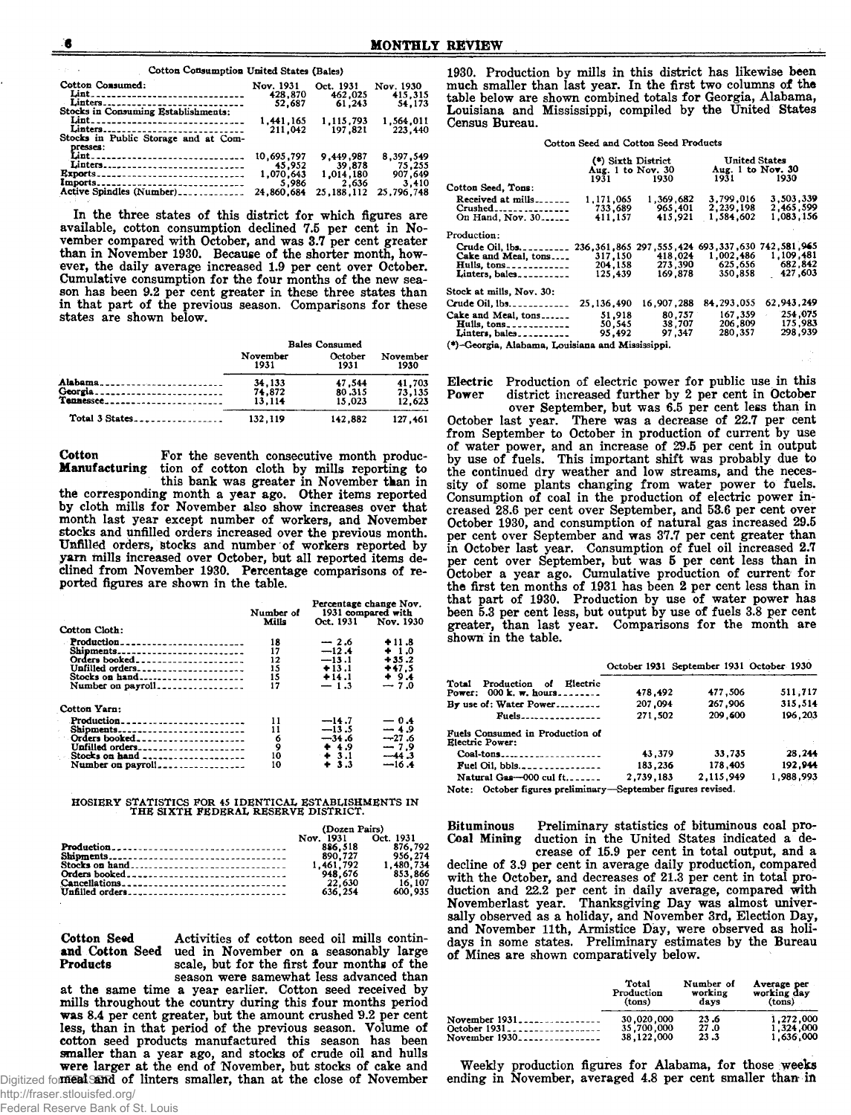Cotton Consumption United States (Bales)

| Cotton Consumed:<br>Lint<br>Linters   | Nov. 1931<br>428.870<br>52.687 | Oct. 1931<br>462,025<br>61.243 | Nov. 1930<br>415.315<br>54.173 |
|---------------------------------------|--------------------------------|--------------------------------|--------------------------------|
| Stocks in Consuming Establishments:   |                                |                                |                                |
|                                       | 1.441.165                      | 1.115.793                      | 1.564.011                      |
| Linters                               | 211.042                        | 197,821                        | 223,440                        |
| Stocks in Public Storage and at Com-  |                                |                                |                                |
| presses:                              |                                |                                |                                |
| Lint_________________________________ | 10.695,797                     | 9.449.987                      | 8.397.549                      |
| Linters                               | 45.952                         | 39,878                         | 75,255                         |
| <b>Exports</b>                        | 1,070,643                      | 1,014,180                      | 907,649                        |
| Imports                               | 5.986                          | 2,636                          | 3.410                          |
| Active Spindles (Number)              | 24,860,684                     | 25, 188, 112                   | 25.796.748                     |

In the three states of this district for which figures are available, cotton consumption declined 7.5 per cent in November compared with October, and was 3.7 per cent greater than in November 1930. Because of the shorter month, however, the daily average increased 1.9 per cent over October. Cumulative consumption for the four months of the new season has been 9.2 per cent greater in these three states than in that part of the previous season. Comparisons for these States are shown below.

|                | <b>Bales Consumed</b> |         |          |
|----------------|-----------------------|---------|----------|
|                | November              | October | November |
|                | 1931                  | 1931    | 1930     |
| Alabama        | 34.133                | 47.544  | 41.703   |
| Georgia        | 74.872                | 80.315  | 73.135   |
| Tannessee      | 13.114                | 15.023  | 12,623   |
| Total 3 States | 132,119               | 142.882 | 127.461  |

Cotton For the seventh consecutive month produc-<br>**Manufacturing** tion of cotton cloth by mills reporting to tion of cotton cloth by mills reporting to this bank was greater in November than in the corresponding month a year ago. Other items reported by cloth mills for November also show increases over that month last year except number of workers, and November stocks and unfilled orders increased over the previous month. Unfilled orders, stocks and number of workers reported by yam mills increased over October, but all reported items dedined from November 1930. Percentage comparisons of reported figures are shown in the table.

|                                                                               | Number of                             | Percentage change Nov.<br>1931 compared with                 |                                                             |  |
|-------------------------------------------------------------------------------|---------------------------------------|--------------------------------------------------------------|-------------------------------------------------------------|--|
| Cotton Cloth:                                                                 | Mills                                 |                                                              | Oct. 1931 Nov. 1930                                         |  |
| Production<br>Shipments<br>Orders booked<br>Unfilled orders<br>Stocks on hand | 18<br>17<br>$12 \,$<br>15<br>15<br>17 | $-2.6$<br>$-12.4$<br>$-13.1$<br>$+13.1$<br>$+14.1$<br>$-1.3$ | $+11.8$<br>$+1.0$<br>$+35.2$<br>$+47.5$<br>$+9.4$<br>$-7.0$ |  |
| Cotton Yarn:                                                                  |                                       |                                                              |                                                             |  |
| Production<br>Shipments<br>Orders booked<br>Unfilled orders                   | 11<br>11<br>6<br>9<br>10<br>10        | $-14.7$<br>$-13.5$<br>$-34.6$<br>+ 4.9<br>$+3.1$<br>$+3.3$   | $-0.4$<br>$-4.9$<br>$-27.6$<br>$-7.9$<br>$-44.3$<br>$-16.4$ |  |

## HOSIERY STATISTICS FOR 45 IDENTICAL ESTABLISHMENTS IN THE SIXTH FEDERAL RESERVE DISTRICT.

|                 | (Dozen Pairs)       |           |  |
|-----------------|---------------------|-----------|--|
|                 | Nov. 1931 Oct. 1931 |           |  |
|                 | 886.518             | 876.792   |  |
|                 | 890.727             | 956.274   |  |
| Stocks on hand  | 1,461,792           | 1.480.734 |  |
|                 | 948.676             | 853.866   |  |
|                 | 22,630              | 16.107    |  |
| Unfilled orders | 636.254             | 600.935   |  |

Cotton Seed Activities of cotton seed oil mills continand Cotton Seed ued in November on a seasonably large Products scale, but for the first four months of the season were samewhat less advanced than

at the same time a year earlier. Cotton seed received by mills throughout the country during this four months period was 8.4 per cent greater, but the amount crushed 9.2 per cent less, than in that period of the previous season. Volume of cotton seed products manufactured this season has been smaller than a year ago, and stocks of crude oil and hulls were larger at the end of November, but stocks of cake and Digitized for **meal and of linters smaller, than at the close of November** 

1930. Production by mills in this district has likewise been much smaller than last year. In the first two columns of the table below are shown combined totals for Georgia, Alabama, Louisiana and Mississippi, compiled by the Uhited States Census Bureau.

Cotton Seed and Cotton Seed Products

|                                                                     | (*) Sixth District<br>Aug. 1 to Nov. 30<br>1931 — 193 | 1930                                                    | <b>United States</b><br>Aug. 1 to Nov. 30<br>1931 1930 |            |  |  |
|---------------------------------------------------------------------|-------------------------------------------------------|---------------------------------------------------------|--------------------------------------------------------|------------|--|--|
| Cotton Seed, Tons:                                                  |                                                       |                                                         |                                                        |            |  |  |
| Received at $m$ ills                                                | 1.171.065                                             | 1,369,682                                               | 3.799.016                                              | 3,503,339  |  |  |
| $Crushed$                                                           | 733.689                                               | 965,401                                                 | 2,239,198                                              | 2.465.599  |  |  |
| On Hand, Nov. 30                                                    | 411.157                                               | 415.921                                                 | 1,584,602                                              | 1.083.156  |  |  |
| Production:                                                         |                                                       |                                                         |                                                        |            |  |  |
| Crude Oil, $\{bs, \ldots, \ldots, \ldots\}$                         |                                                       | 236, 361, 865 297, 555, 424 693, 337, 630 742, 581, 965 |                                                        |            |  |  |
| Cake and Meal, tons                                                 | 317.150                                               | 418,024                                                 | 1.002.486                                              | 1,109,481  |  |  |
| Hulls, tons                                                         | 204.158                                               | 273.390                                                 | 625.656                                                | 682.842    |  |  |
| Linters, bales                                                      | 125.439                                               | 169.878                                                 | 350,858                                                | 427,603    |  |  |
| Stock at mills, Nov. 30:                                            |                                                       |                                                         |                                                        |            |  |  |
| Crude Oil, $lbs$                                                    | 25, 136, 490                                          | 16,907,288                                              | 84, 293, 055                                           | 62,943,249 |  |  |
| Cake and Meal, tons                                                 | 51,918                                                | 80,757                                                  | 167,359                                                | 254,075    |  |  |
| Hulls, $tons$ , $_{\texttt{3}}$ , $_{\texttt{3}}$ , $_{\texttt{4}}$ | 50.545                                                | 38,707                                                  | 206.809                                                | 175.983    |  |  |
| Linters, bales                                                      | 95.492                                                | 97.347                                                  | 280.357                                                | 298.939    |  |  |
| (*)-Georgia, Alabama, Louisiana and Mississippi.                    |                                                       |                                                         |                                                        |            |  |  |

Electric Production of electric power for public use in this Power district increased further by 2 per cent in October district increased further by 2 per cent in October

over September, but was 6.5 per cent less than in October last year. There was a decrease of 22.7 per cent from September to October in production of current by use of water power, and an increase of 29.5 per cent in output by use of fuels. This important shift was probably due to the continued dry weather and low streams, and the necessity of some plants changing from water power to fuels. Consumption of coal in the production of electric power increased 28.6 per cent over September, and 53.6 per cent over October 1930, and consumption of natural gas increased 29.5 per cent over September and was 37.7 per cent greater than in October last year. Consumption of fuel oil increased 2.7 per cent over September, but was 5 per cent less than in October a year ago. Cumulative production of current for the first ten months of 1931 has been 2 per cent less than in that part of 1930. Production by use of water power has been 5.3 per cent less, but output by use of fuels 3.8 per cent greater, than last year. Comparisons for the month are shown in the table.

|                                                             |           | October 1931 September 1931 October 1930 |           |
|-------------------------------------------------------------|-----------|------------------------------------------|-----------|
| Total Production of Electric<br>Power: $000$ k, w, hours    | 478.492   | 477,506                                  | 511.717   |
| By use of: Water Power                                      | 207.094   | 267,906                                  | 315.514   |
| $Fuels$                                                     | 271.502   | 209,600                                  | 196,203   |
| Fuels Consumed in Production of<br>Electric Power:          |           |                                          |           |
| $Coal-tons$                                                 | 43.379    | 33,735                                   | 28,244    |
|                                                             | 183,236   | 178.405                                  | 192.944   |
| Natural Gas- $-000$ cul ft                                  | 2.739.183 | 2.115.949                                | 1,988,993 |
| Note: October figures preliminary-September figures revised |           |                                          |           |

October figures preliminary—September figures revised.

Bituminous Preliminary statistics of bituminous coal pro-Coal Mining duction in the United States indicated a decrease of 15.9 per cent in total output, and a decline of 3.9 per cent in average daily production, compared with the October, and decreases of 21.3 per cent in total production and 22.2 per cent in daily average, compared with Novemberlast year. Thanksgiving Day was almost universally observed as a holiday, and November 3rd, Election Day, and November 11th, Armistice Day, were observed as holidays in some states. Preliminary estimates by the Bureau of Mines are shown comparatively below.

|                 | Total<br>Production<br>(tons) | Number of<br>working<br>davs | Average per<br>working day<br>(tons) |  |
|-----------------|-------------------------------|------------------------------|--------------------------------------|--|
| November $1931$ | 30,020,000                    | 23.6                         | 1.272.000                            |  |
| October 1931    | 35.700.000                    | 27.0                         | 1.324.000                            |  |
| November $1930$ | 38.122.000                    | 23.3                         | 1.636,000                            |  |

Weekly production figures for Alabama, for those weeks ending in November, averaged 4.8 per cent smaller than in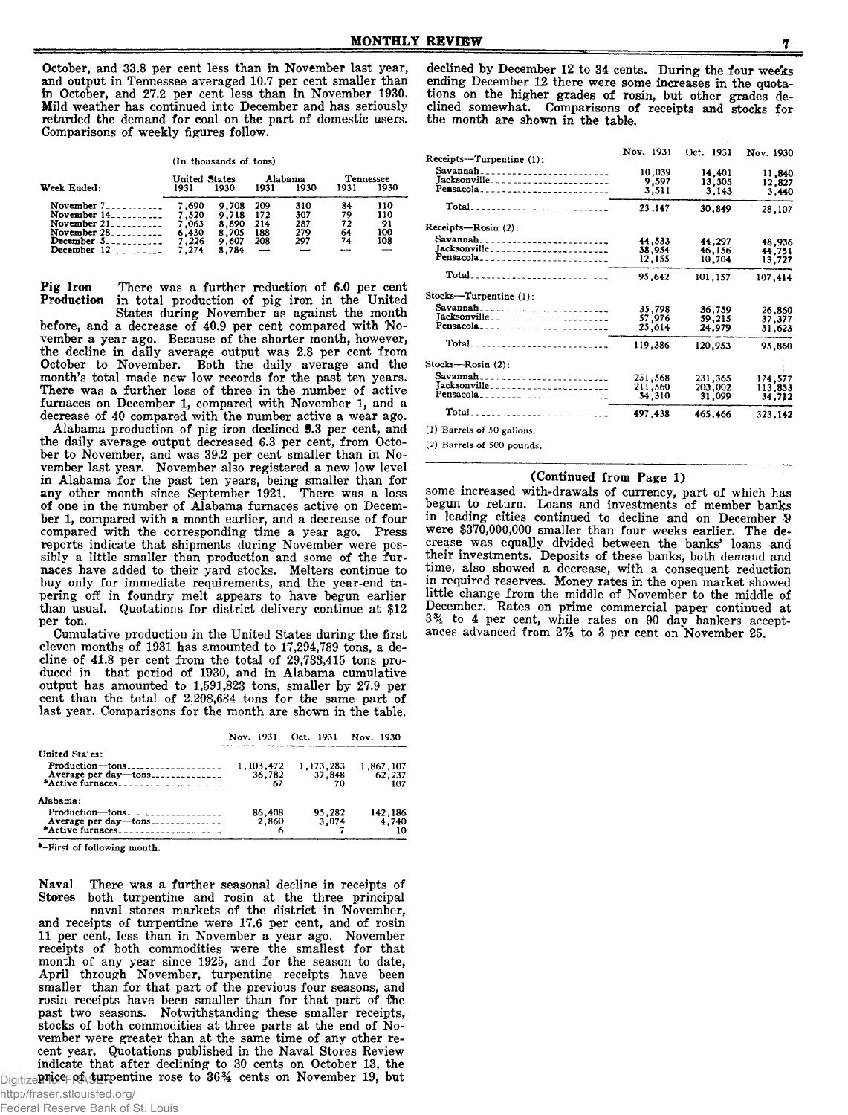October, and 33.8 per cent less than in November last year, and output in Tennessee averaged 10.7 per cent smaller than in October, and 27.2 per cent less than in November 1930. Mild weather has continued into December and has seriously retarded the demand for coal on the part of domestic users. Comparisons of weekly figures follow.

(In thousands of tons)

|                         | United States |       | Alabama |      | Tennessee |      |
|-------------------------|---------------|-------|---------|------|-----------|------|
| Week Ended:             | 1931          | 1930  | 1931    | 1930 | 1931      | 1930 |
| November $7 - 7$        | 7.690         | 9.708 | 209     | 310  | 84        | 110  |
| November $14$ --------- | 7.520         | 9.718 | 172     | 307  | 79        | 110  |
| November $21$           | 7.063         | 8.890 | 214     | 287  | 72        | 91   |
| November $28$           | 6,430         | 8,705 | 188     | 279  | 64        | 100  |
| December $5$ ---------- | 7.226         | 9.607 | 208     | 297  | 74        | 108  |
| December $12$           | 7.274         | 8.784 |         |      |           |      |

Pig Iron There was a further reduction of 6.0 per cent Production in total production of pig iron in the United

States during November as against the month before, and a decrease of 40.9 per cent compared with November a year ago. Because of the shorter month, however, the decline in daily average output was 2.8 per cent from October to November. Both the daily average and the month's total made new low records for the past ten years. There was a further loss of three in the number of active furnaces on December 1, compared with November 1, and a decrease of 40 compared with the number active a wear ago.

Alabama production of pig iron declined *9.3* per cent, and the daily average output decreased 6.3 per cent, from October to November, and was 39.2 per cent smaller than in November last year. November also registered a new low level in Alabama for the past ten years, being smaller than for any other month since September 1921. There was a loss of one in the number of Alabama furnaces active on December 1, compared with a month earlier, and a decrease of four compared with the corresponding time a year ago. Press reports indicate that shipments during November were possibly a little smaller than production and some of the furnaces have added to their yard stocks. Melters continue to buy only for immediate requirements, and the year-end tapering off in foundry melt appears to have begun earlier than usual. Quotations for district delivery continue at \$12 per ton.

Cumulative production in the United States during the first eleven months of 1931 has amounted to 17,294,789 tons, a decline of 41.8 per cent from the total of 29,733,415 tons produced in that period of 1930, and in Alabama cumulative output has amounted to 1,591,823 tons, smaller by 27.9 per cent than the total of 2,208,684 tons for the same part of last year. Comparisons for the month are shown in the table.

|                                            |                           | Nov. 1931 Oct. 1931 Nov. 1930 |                            |
|--------------------------------------------|---------------------------|-------------------------------|----------------------------|
| United Sta'es:                             |                           |                               |                            |
| $Production$ -tons<br>Average per day-tons | 1.103.472<br>36,782<br>67 | 1.173.283<br>37.848           | 1.867.107<br>62,237<br>107 |
| Alahama:                                   |                           |                               |                            |
| Production-tons                            | 86,408<br>2.860           | 95,282<br>3.074               | 142,186<br>4.740<br>10     |

\*-First of following month.

Naval There was a further seasonal decline in receipts of Stores both turpentine and rosin at the three principal both turpentine and rosin at the three principal naval stores markets of the district in November, and receipts of turpentine were 17.6 per cent, and of rosin 11 per cent, less than in November a year ago. November receipts of both commodities were the smallest for that month of any year since 1925, and for the season to date, April through November, turpentine receipts have been smaller than for that part of the previous four seasons, and rosin receipts have been smaller than for that part of fhe past two seasons. Notwithstanding these smaller receipts, stocks of both commodities at three parts at the end of November were greater than at the same time of any other recent year. Quotations published in the Naval Stores Review indicate that after declining to 30 cents on October 13, the Digitize Plete PASH pentine rose to 36% cents on November 19, but

declined by December 12 to 34 cents. During the four weeks ending December *12* there were some increases in the quotations on the higher grades of rosin, but other grades declined somewhat. Comparisons of receipts and stocks for the month are shown in the table.

| Receipts-Turpentine (1):                                                               | Nov. 1931                    | Oct. 1931                    | Nov. 1930                    |
|----------------------------------------------------------------------------------------|------------------------------|------------------------------|------------------------------|
| Savannah<br>Jacksonville<br>Pensacola                                                  | 10,039<br>9,597<br>3,511     | 14,401<br>13,305<br>3.143    | 11,840<br>12,827<br>3,440    |
| Total______________________________                                                    | 23.147                       | 30.849                       | 28,107                       |
| Receipts-Rosin (2):                                                                    |                              |                              |                              |
| Jacksonville________________________<br>Pensacola <sub>-------------------------</sub> | 44.533<br>38,954<br>12,155   | 44.297<br>46,156<br>10.704   | 48.936<br>44.751<br>13,727   |
| Total <b>.</b>                                                                         | 95.642                       | 101,157                      | 107,414                      |
| Stocks-Turpentine (1):                                                                 |                              |                              |                              |
| Savannah ____________________________<br>Pensacola <sub>n</sub>                        | 35,798<br>57,976<br>25,614   | 36,759<br>59.215<br>24.979   | 26,860<br>37.377<br>31,623   |
| Total <b></b>                                                                          | 119,386                      | 120,953                      | 95,860                       |
| Stocks-Rosin (2):                                                                      |                              |                              |                              |
| Savannah<br>Jacksonville<br>Pensacola                                                  | 251,568<br>211,560<br>34,310 | 231,365<br>203,002<br>31,099 | 174,577<br>113,853<br>34,712 |
|                                                                                        | 497,438                      | 465,466                      | 323.142                      |
|                                                                                        |                              |                              |                              |

(1) Barrels of 50 gallons.

(**2**) Barrels of 500 pounds.

#### (Continued from Page 1)

some increased with-drawals of currency, part of which has begun to return. Loans and investments of member banks in leading cities continued to decline and on December S were \$370,000,000 smaller than four weeks earlier. The decrease was equaUy divided between the banks' loans and their investments. Deposits of these banks, both demand and time, also showed a decrease, with a consequent reduction in required reserves. Money rates in the open market showed little change from the middle of November to the middle of December. Rates on prime commercial paper continued at 3% to 4 per cent, while rates on 90 day bankers acceptances advanced from 2% to 3 per cent on November 25.